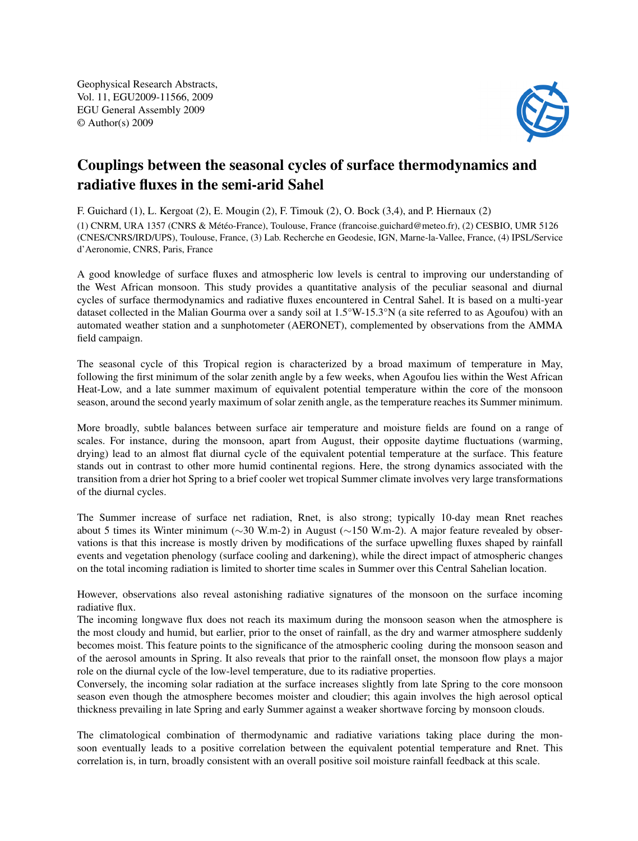Geophysical Research Abstracts, Vol. 11, EGU2009-11566, 2009 EGU General Assembly 2009 © Author(s) 2009



## Couplings between the seasonal cycles of surface thermodynamics and radiative fluxes in the semi-arid Sahel

F. Guichard (1), L. Kergoat (2), E. Mougin (2), F. Timouk (2), O. Bock (3,4), and P. Hiernaux (2)

(1) CNRM, URA 1357 (CNRS & Météo-France), Toulouse, France (francoise.guichard@meteo.fr), (2) CESBIO, UMR 5126 (CNES/CNRS/IRD/UPS), Toulouse, France, (3) Lab. Recherche en Geodesie, IGN, Marne-la-Vallee, France, (4) IPSL/Service d'Aeronomie, CNRS, Paris, France

A good knowledge of surface fluxes and atmospheric low levels is central to improving our understanding of the West African monsoon. This study provides a quantitative analysis of the peculiar seasonal and diurnal cycles of surface thermodynamics and radiative fluxes encountered in Central Sahel. It is based on a multi-year dataset collected in the Malian Gourma over a sandy soil at 1.5°W-15.3°N (a site referred to as Agoufou) with an automated weather station and a sunphotometer (AERONET), complemented by observations from the AMMA field campaign.

The seasonal cycle of this Tropical region is characterized by a broad maximum of temperature in May, following the first minimum of the solar zenith angle by a few weeks, when Agoufou lies within the West African Heat-Low, and a late summer maximum of equivalent potential temperature within the core of the monsoon season, around the second yearly maximum of solar zenith angle, as the temperature reaches its Summer minimum.

More broadly, subtle balances between surface air temperature and moisture fields are found on a range of scales. For instance, during the monsoon, apart from August, their opposite daytime fluctuations (warming, drying) lead to an almost flat diurnal cycle of the equivalent potential temperature at the surface. This feature stands out in contrast to other more humid continental regions. Here, the strong dynamics associated with the transition from a drier hot Spring to a brief cooler wet tropical Summer climate involves very large transformations of the diurnal cycles.

The Summer increase of surface net radiation, Rnet, is also strong; typically 10-day mean Rnet reaches about 5 times its Winter minimum (∼30 W.m-2) in August (∼150 W.m-2). A major feature revealed by observations is that this increase is mostly driven by modifications of the surface upwelling fluxes shaped by rainfall events and vegetation phenology (surface cooling and darkening), while the direct impact of atmospheric changes on the total incoming radiation is limited to shorter time scales in Summer over this Central Sahelian location.

However, observations also reveal astonishing radiative signatures of the monsoon on the surface incoming radiative flux.

The incoming longwave flux does not reach its maximum during the monsoon season when the atmosphere is the most cloudy and humid, but earlier, prior to the onset of rainfall, as the dry and warmer atmosphere suddenly becomes moist. This feature points to the significance of the atmospheric cooling during the monsoon season and of the aerosol amounts in Spring. It also reveals that prior to the rainfall onset, the monsoon flow plays a major role on the diurnal cycle of the low-level temperature, due to its radiative properties.

Conversely, the incoming solar radiation at the surface increases slightly from late Spring to the core monsoon season even though the atmosphere becomes moister and cloudier; this again involves the high aerosol optical thickness prevailing in late Spring and early Summer against a weaker shortwave forcing by monsoon clouds.

The climatological combination of thermodynamic and radiative variations taking place during the monsoon eventually leads to a positive correlation between the equivalent potential temperature and Rnet. This correlation is, in turn, broadly consistent with an overall positive soil moisture rainfall feedback at this scale.